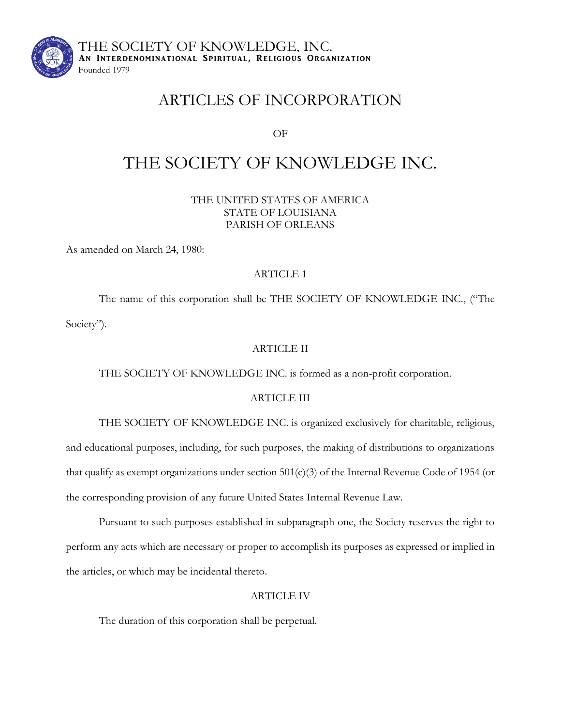

THE SOCIETY OF KNOWLEDGE, INC. AN INTERDENOMINATIONAL SPIRITUAL, RELIGIOUS ORGANIZATION Founded 1979

## ARTICLES OF INCORPORATION

OF

# THE SOCIETY OF KNOWLEDGE INC.

THE UNITED STATES OF AMERICA STATE OF LOUISIANA PARISH OF ORLEANS

As amended on March 24, 1980:

## ARTICLE 1

The name of this corporation shall be THE SOCIETY OF KNOWLEDGE INC., ("The Society").

## ARTICLE II

THE SOCIETY OF KNOWLEDGE INC. is formed as a non-profit corporation.

## ARTICLE III

THE SOCIETY OF KNOWLEDGE INC. is organized exclusively for charitable, religious, and educational purposes, including, for such purposes, the making of distributions to organizations that qualify as exempt organizations under section 501(c)(3) of the Internal Revenue Code of 1954 (or the corresponding provision of any future United States Internal Revenue Law.

Pursuant to such purposes established in subparagraph one, the Society reserves the right to perform any acts which are necessary or proper to accomplish its purposes as expressed or implied in the articles, or which may be incidental thereto.

## ARTICLE IV

The duration of this corporation shall be perpetual.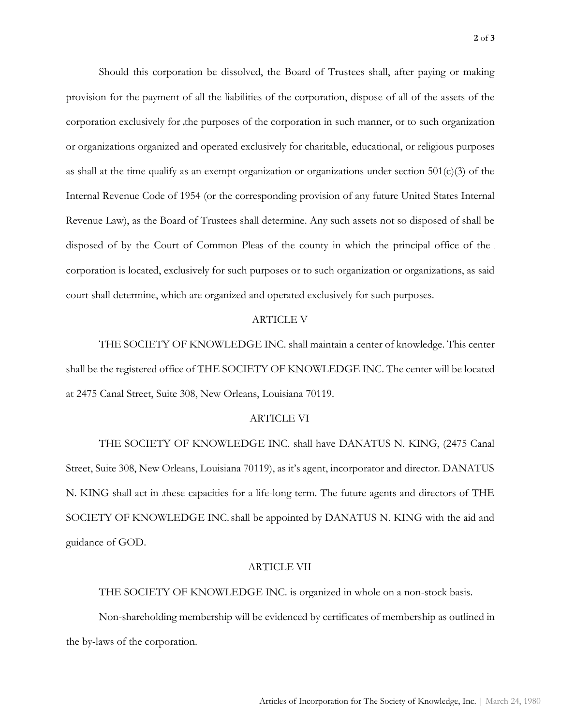Should this corporation be dissolved, the Board of Trustees shall, after paying or making provision for the payment of all the liabilities of the corporation, dispose of all of the assets of the corporation exclusively for the purposes of the corporation in such manner, or to such organization or organizations organized and operated exclusively for charitable, educational, or religious purposes as shall at the time qualify as an exempt organization or organizations under section  $501(c)(3)$  of the Internal Revenue Code of 1954 (or the corresponding provision of any future United States Internal Revenue Law), as the Board of Trustees shall determine. Any such assets not so disposed of shall be disposed of by the Court of Common Pleas of the county in which the principal office of the corporation is located, exclusively for such purposes or to such organization or organizations, as said court shall determine, which are organized and operated exclusively for such purposes.

#### ARTICLE V

THE SOCIETY OF KNOWLEDGE INC. shall maintain a center of knowledge. This center shall be the registered office of THE SOCIETY OF KNOWLEDGE INC. The center will be located at 2475 Canal Street, Suite 308, New Orleans, Louisiana 70119.

#### ARTICLE VI

THE SOCIETY OF KNOWLEDGE INC. shall have DANATUS N. KING, (2475 Canal Street, Suite 308, New Orleans, Louisiana 70119), as it's agent, incorporator and director. DANATUS N. KING shall act in these capacities for a life-long term. The future agents and directors of THE SOCIETY OF KNOWLEDGE INC. shall be appointed by DANATUS N. KING with the aid and guidance of GOD.

#### ARTICLE VII

THE SOCIETY OF KNOWLEDGE INC. is organized in whole on a non-stock basis.

Non-shareholding membership will be evidenced by certificates of membership as outlined in the by-laws of the corporation.